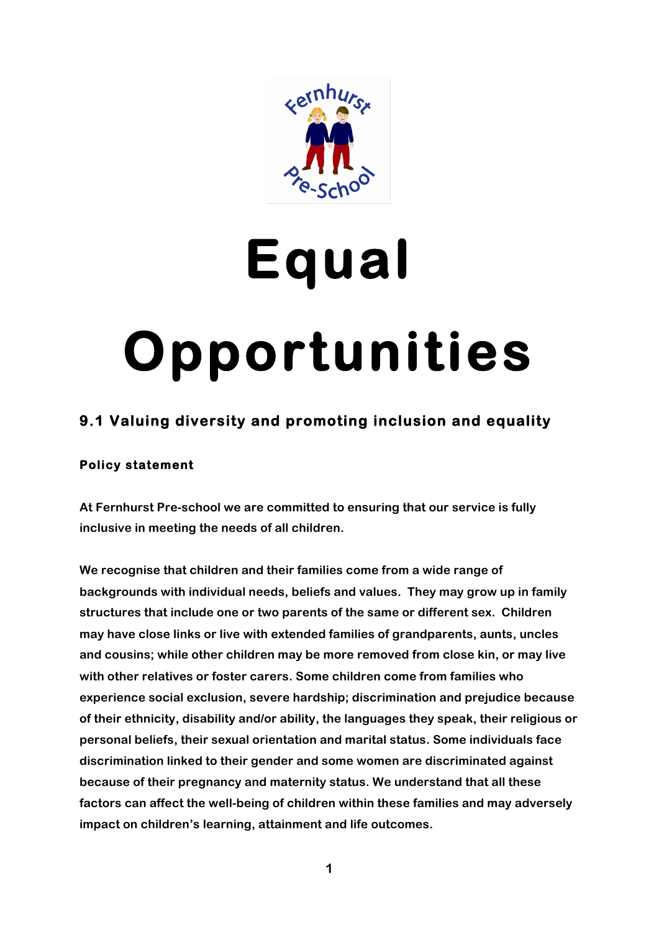

# **Equal Opportunities**

# **9.1 Valuing diversity and promoting inclusion and equality**

# **Policy statement**

**At Fernhurst Pre-school we are committed to ensuring that our service is fully inclusive in meeting the needs of all children.** 

**We recognise that children and their families come from a wide range of backgrounds with individual needs, beliefs and values. They may grow up in family structures that include one or two parents of the same or different sex. Children may have close links or live with extended families of grandparents, aunts, uncles and cousins; while other children may be more removed from close kin, or may live with other relatives or foster carers. Some children come from families who experience social exclusion, severe hardship; discrimination and prejudice because of their ethnicity, disability and/or ability, the languages they speak, their religious or personal beliefs, their sexual orientation and marital status. Some individuals face discrimination linked to their gender and some women are discriminated against because of their pregnancy and maternity status. We understand that all these factors can affect the well-being of children within these families and may adversely impact on children's learning, attainment and life outcomes.**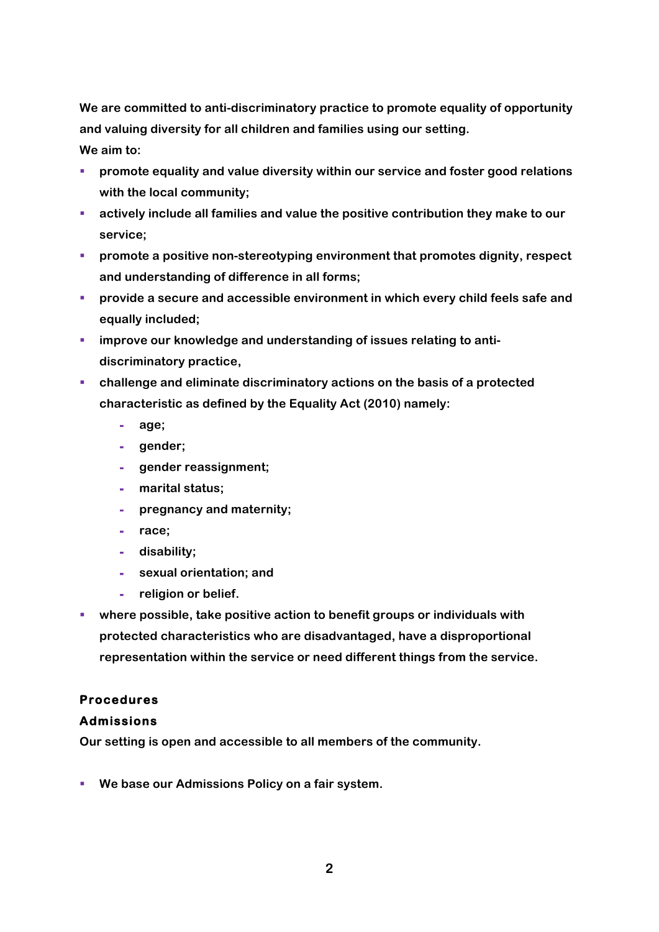**We are committed to anti-discriminatory practice to promote equality of opportunity and valuing diversity for all children and families using our setting.** 

**We aim to:**

- § **promote equality and value diversity within our service and foster good relations with the local community;**
- § **actively include all families and value the positive contribution they make to our service;**
- § **promote a positive non-stereotyping environment that promotes dignity, respect and understanding of difference in all forms;**
- § **provide a secure and accessible environment in which every child feels safe and equally included;**
- **EXECUTE:** improve our knowledge and understanding of issues relating to anti**discriminatory practice,**
- § **challenge and eliminate discriminatory actions on the basis of a protected characteristic as defined by the Equality Act (2010) namely:**
	- **- age;**
	- **- gender;**
	- **- gender reassignment;**
	- **- marital status;**
	- **- pregnancy and maternity;**
	- **- race;**
	- **- disability;**
	- **- sexual orientation; and**
	- **- religion or belief.**
- § **where possible, take positive action to benefit groups or individuals with protected characteristics who are disadvantaged, have a disproportional representation within the service or need different things from the service.**

# **Procedures**

# **Admissions**

**Our setting is open and accessible to all members of the community.**

■ We base our Admissions Policy on a fair system.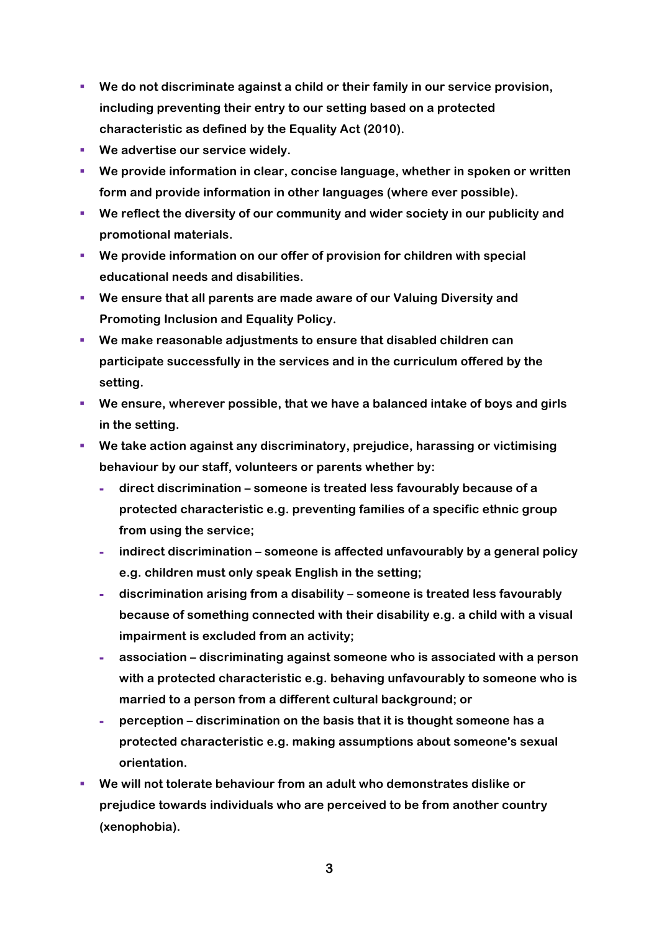- § **We do not discriminate against a child or their family in our service provision, including preventing their entry to our setting based on a protected characteristic as defined by the Equality Act (2010).**
- **We advertise our service widely.**
- We provide information in clear, concise language, whether in spoken or written **form and provide information in other languages (where ever possible).**
- § **We reflect the diversity of our community and wider society in our publicity and promotional materials.**
- § **We provide information on our offer of provision for children with special educational needs and disabilities.**
- § **We ensure that all parents are made aware of our Valuing Diversity and Promoting Inclusion and Equality Policy.**
- § **We make reasonable adjustments to ensure that disabled children can participate successfully in the services and in the curriculum offered by the setting.**
- § **We ensure, wherever possible, that we have a balanced intake of boys and girls in the setting.**
- § **We take action against any discriminatory, prejudice, harassing or victimising behaviour by our staff, volunteers or parents whether by:**
	- **- direct discrimination – someone is treated less favourably because of a protected characteristic e.g. preventing families of a specific ethnic group from using the service;**
	- **- indirect discrimination – someone is affected unfavourably by a general policy e.g. children must only speak English in the setting;**
	- **- discrimination arising from a disability – someone is treated less favourably because of something connected with their disability e.g. a child with a visual impairment is excluded from an activity;**
	- **- association – discriminating against someone who is associated with a person with a protected characteristic e.g. behaving unfavourably to someone who is married to a person from a different cultural background; or**
	- **- perception – discrimination on the basis that it is thought someone has a protected characteristic e.g. making assumptions about someone's sexual orientation.**
- § **We will not tolerate behaviour from an adult who demonstrates dislike or prejudice towards individuals who are perceived to be from another country (xenophobia).**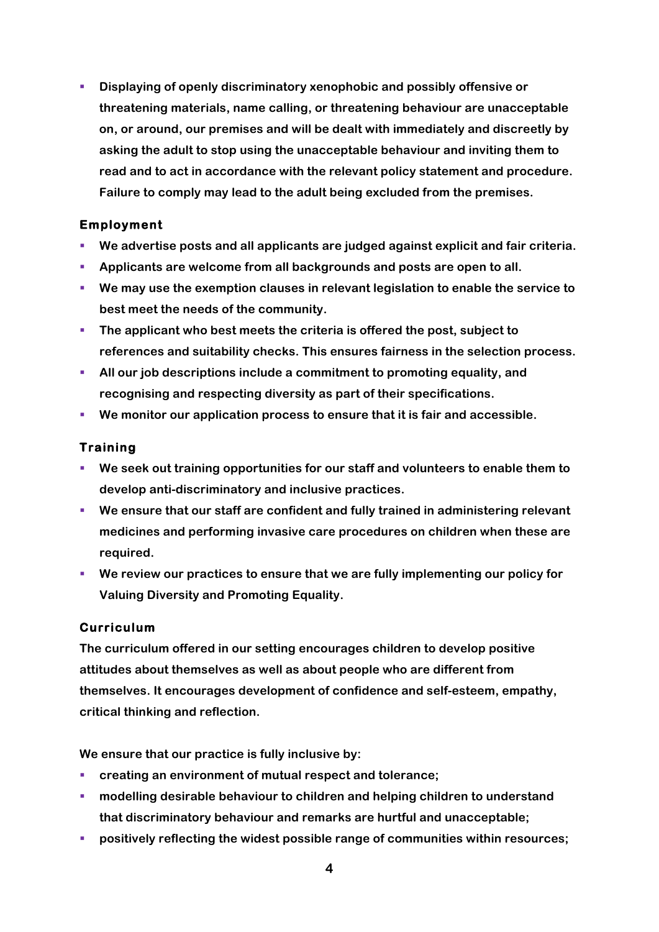§ **Displaying of openly discriminatory xenophobic and possibly offensive or threatening materials, name calling, or threatening behaviour are unacceptable on, or around, our premises and will be dealt with immediately and discreetly by asking the adult to stop using the unacceptable behaviour and inviting them to read and to act in accordance with the relevant policy statement and procedure. Failure to comply may lead to the adult being excluded from the premises.** 

# **Employment**

- We advertise posts and all applicants are judged against explicit and fair criteria.
- § **Applicants are welcome from all backgrounds and posts are open to all.**
- § **We may use the exemption clauses in relevant legislation to enable the service to best meet the needs of the community.**
- § **The applicant who best meets the criteria is offered the post, subject to references and suitability checks. This ensures fairness in the selection process.**
- § **All our job descriptions include a commitment to promoting equality, and recognising and respecting diversity as part of their specifications.**
- We monitor our application process to ensure that it is fair and accessible.

# **Training**

- § **We seek out training opportunities for our staff and volunteers to enable them to develop anti-discriminatory and inclusive practices.**
- § **We ensure that our staff are confident and fully trained in administering relevant medicines and performing invasive care procedures on children when these are required.**
- § **We review our practices to ensure that we are fully implementing our policy for Valuing Diversity and Promoting Equality.**

# **Curriculum**

**The curriculum offered in our setting encourages children to develop positive attitudes about themselves as well as about people who are different from themselves. It encourages development of confidence and self-esteem, empathy, critical thinking and reflection.**

**We ensure that our practice is fully inclusive by:**

- **creating an environment of mutual respect and tolerance;**
- § **modelling desirable behaviour to children and helping children to understand that discriminatory behaviour and remarks are hurtful and unacceptable;**
- § **positively reflecting the widest possible range of communities within resources;**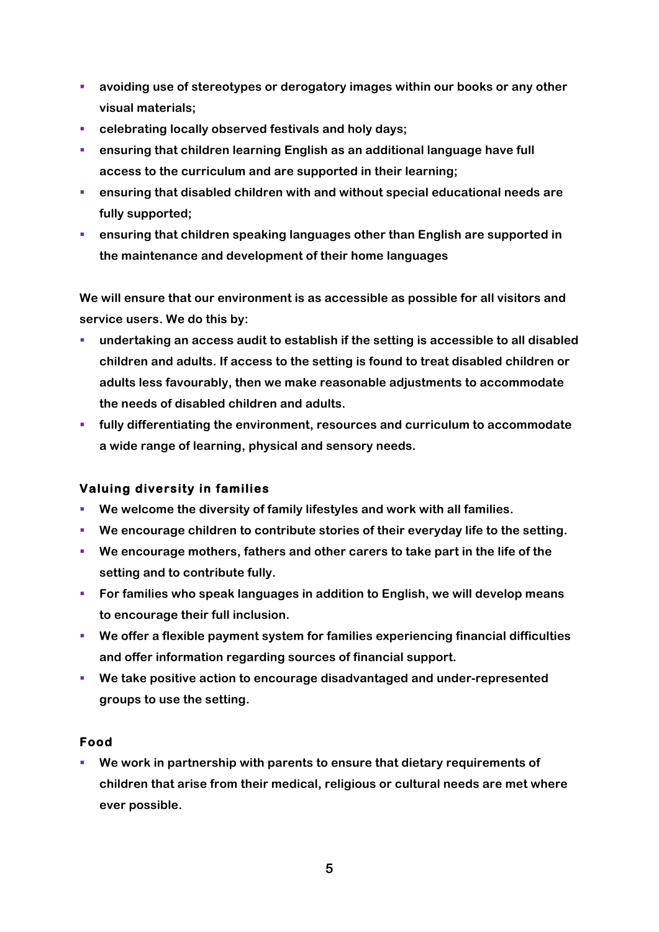- § **avoiding use of stereotypes or derogatory images within our books or any other visual materials;**
- § **celebrating locally observed festivals and holy days;**
- **Example 1** and that children learning English as an additional language have full **access to the curriculum and are supported in their learning;**
- § **ensuring that disabled children with and without special educational needs are fully supported;**
- **EXEDENT ENDIRERY ENDIREY CONTEX IS A LOCATE CHILD FOR THE PROPERTY IS A LOCATE IN A LOCATE CONTEX IS A LOCATE IN A LOCATE IN A LOCATE CONTEXT FOR SUPPORTED IN A LOCATE CHILD FOR SUPPORTED IN A LOCATE CONTEXT FOR SUPPORT O the maintenance and development of their home languages**

**We will ensure that our environment is as accessible as possible for all visitors and service users. We do this by:**

- § **undertaking an access audit to establish if the setting is accessible to all disabled children and adults. If access to the setting is found to treat disabled children or adults less favourably, then we make reasonable adjustments to accommodate the needs of disabled children and adults.**
- § **fully differentiating the environment, resources and curriculum to accommodate a wide range of learning, physical and sensory needs.**

# **Valuing diversity in families**

- § **We welcome the diversity of family lifestyles and work with all families.**
- § **We encourage children to contribute stories of their everyday life to the setting.**
- § **We encourage mothers, fathers and other carers to take part in the life of the setting and to contribute fully.**
- § **For families who speak languages in addition to English, we will develop means to encourage their full inclusion.**
- § **We offer a flexible payment system for families experiencing financial difficulties and offer information regarding sources of financial support.**
- We take positive action to encourage disadvantaged and under-represented **groups to use the setting.**

# **Food**

§ **We work in partnership with parents to ensure that dietary requirements of children that arise from their medical, religious or cultural needs are met where ever possible.**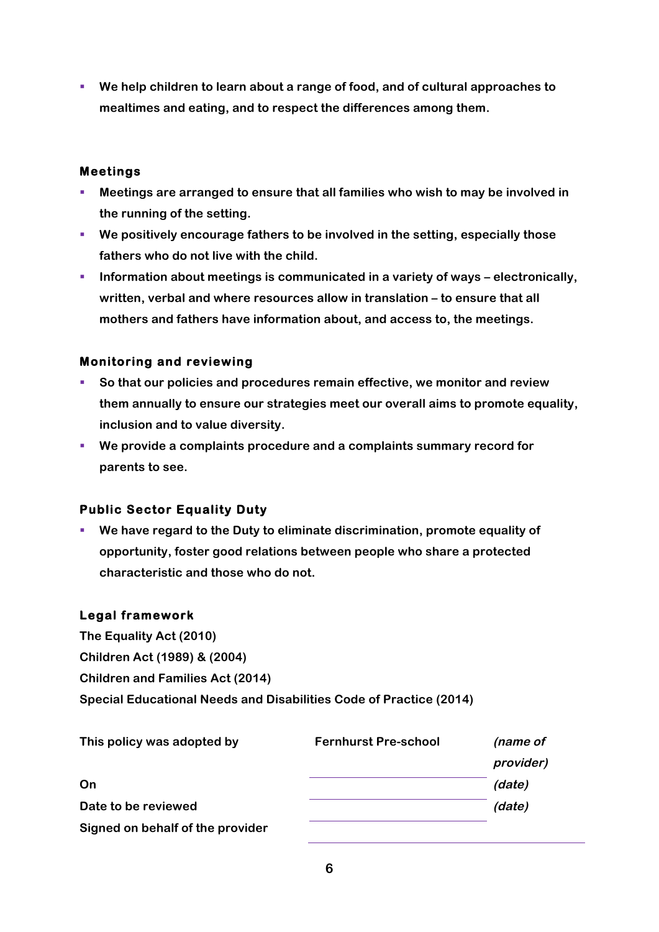§ **We help children to learn about a range of food, and of cultural approaches to mealtimes and eating, and to respect the differences among them.**

#### **Meetings**

- Meetings are arranged to ensure that all families who wish to may be involved in **the running of the setting.**
- § **We positively encourage fathers to be involved in the setting, especially those fathers who do not live with the child.**
- § **Information about meetings is communicated in a variety of ways – electronically, written, verbal and where resources allow in translation – to ensure that all mothers and fathers have information about, and access to, the meetings.**

# **Monitoring and reviewing**

- § **So that our policies and procedures remain effective, we monitor and review them annually to ensure our strategies meet our overall aims to promote equality, inclusion and to value diversity.**
- § **We provide a complaints procedure and a complaints summary record for parents to see.**

# **Public Sector Equality Duty**

§ **We have regard to the Duty to eliminate discrimination, promote equality of opportunity, foster good relations between people who share a protected characteristic and those who do not.**

# **Legal framework**

**The Equality Act (2010) Children Act (1989) & (2004) Children and Families Act (2014) Special Educational Needs and Disabilities Code of Practice (2014)** 

| This policy was adopted by       | <b>Fernhurst Pre-school</b> | (name of  |
|----------------------------------|-----------------------------|-----------|
|                                  |                             | provider) |
| On                               |                             | (date)    |
| Date to be reviewed              |                             | (date)    |
| Signed on behalf of the provider |                             |           |